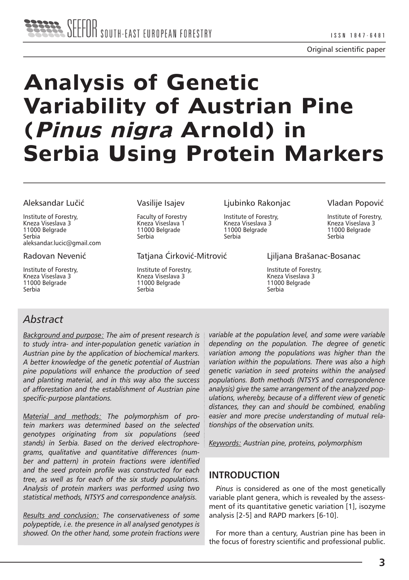Original scientific paper

# **Analysis of Genetic Variability of Austrian Pine (Pinus nigra Arnold) in Serbia Using Protein Markers**

#### Aleksandar Lučić

Institute of Forestry, Kneza Viseslava 3 11000 Belgrade Serbia aleksandar.lucic@gmail.com

#### Radovan Nevenić

Institute of Forestry, Kneza Viseslava 3 11000 Belgrade Serbia

#### Vasilije Isajev

Faculty of Forestry Kneza Viseslava 1 11000 Belgrade Serbia

Tatjana Ćirković-Mitrović

Institute of Forestry, Kneza Viseslava 3 11000 Belgrade Serbia

Ljubinko Rakonjac

Institute of Forestry, Kneza Viseslava 3 11000 Belgrade Serbia

Vladan Popović

Institute of Forestry, Kneza Viseslava 3 11000 Belgrade Serbia

#### Ljiljana Brašanac-Bosanac

Institute of Forestry, Kneza Viseslava 3 11000 Belgrade Serbia

## *Abstract*

*Background and purpose: The aim of present research is to study intra- and inter-population genetic variation in Austrian pine by the application of biochemical markers. A better knowledge of the genetic potential of Austrian pine populations will enhance the production of seed and planting material, and in this way also the success of afforestation and the establishment of Austrian pine specific-purpose plantations.* 

*Material and methods: The polymorphism of protein markers was determined based on the selected genotypes originating from six populations (seed stands) in Serbia. Based on the derived electrophoregrams, qualitative and quantitative differences (number and pattern) in protein fractions were identified and the seed protein profile was constructed for each tree, as well as for each of the six study populations. Analysis of protein markers was performed using two statistical methods, NTSYS and correspondence analysis.*

*Results and conclusion: The conservativeness of some polypeptide, i.e. the presence in all analysed genotypes is showed. On the other hand, some protein fractions were* 

*variable at the population level, and some were variable depending on the population. The degree of genetic variation among the populations was higher than the variation within the populations. There was also a high genetic variation in seed proteins within the analysed populations. Both methods (NTSYS and correspondence analysis) give the same arrangement of the analyzed populations, whereby, because of a different view of genetic distances, they can and should be combined, enabling easier and more precise understanding of mutual relationships of the observation units.*

*Keywords: Austrian pine, proteins, polymorphism*

## **INTRODUCTION**

*Pinus* is considered as one of the most genetically variable plant genera, which is revealed by the assessment of its quantitative genetic variation [1], isozyme analysis [2-5] and RAPD markers [6-10].

For more than a century, Austrian pine has been in the focus of forestry scientific and professional public.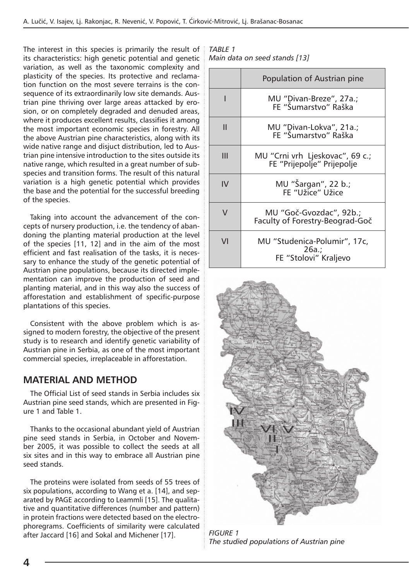The interest in this species is primarily the result of its characteristics: high genetic potential and genetic variation, as well as the taxonomic complexity and plasticity of the species. Its protective and reclamation function on the most severe terrains is the consequence of its extraordinarily low site demands. Austrian pine thriving over large areas attacked by erosion, or on completely degraded and denuded areas, where it produces excellent results, classifies it among the most important economic species in forestry. All the above Austrian pine characteristics, along with its wide native range and disjuct distribution, led to Austrian pine intensive introduction to the sites outside its native range, which resulted in a great number of subspecies and transition forms. The result of this natural variation is a high genetic potential which provides the base and the potential for the successful breeding of the species.

Taking into account the advancement of the concepts of nursery production, i.e. the tendency of abandoning the planting material production at the level of the species [11, 12] and in the aim of the most efficient and fast realisation of the tasks, it is necessary to enhance the study of the genetic potential of Austrian pine populations, because its directed implementation can improve the production of seed and planting material, and in this way also the success of afforestation and establishment of specific-purpose plantations of this species.

Consistent with the above problem which is assigned to modern forestry, the objective of the present study is to research and identify genetic variability of Austrian pine in Serbia, as one of the most important commercial species, irreplaceable in afforestation.

## **MATERIAL AND METHOD**

The Official List of seed stands in Serbia includes six Austrian pine seed stands, which are presented in Figure 1 and Table 1.

Thanks to the occasional abundant yield of Austrian pine seed stands in Serbia, in October and November 2005, it was possible to collect the seeds at all six sites and in this way to embrace all Austrian pine seed stands.

The proteins were isolated from seeds of 55 trees of six populations, according to Wang et a. [14], and separated by PAGE according to Leammli [15]. The qualitative and quantitative differences (number and pattern) in protein fractions were detected based on the electrophoregrams. Coefficients of similarity were calculated after Jaccard [16] and Sokal and Michener [17]. *FIGURE 1* 

*TABLE 1 Main data on seed stands [13]*

|        | Population of Austrian pine                                       |
|--------|-------------------------------------------------------------------|
| ı      | MU "Divan-Breze", 27a.;<br>FE "Šumarstvo" Raška                   |
| Ш      | MU "Divan-Lokva", 21a.;<br>FE "Šumarstvo" Raška                   |
| Ш      | MU "Crni vrh Ljeskovac", 69 c.;<br>FE "Prijepolje" Prijepolje     |
| IV     | MU "Šargan", 22 b.;<br>FF "Užice" Užice                           |
| $\vee$ | MU "Goč-Gvozdac", 92b.;<br>Faculty of Forestry-Beograd-Goč        |
| VI     | MU "Studenica-Polumir", 17c,<br>$26a.$ ;<br>FE "Stolovi" Kraljevo |



*The studied populations of Austrian pine*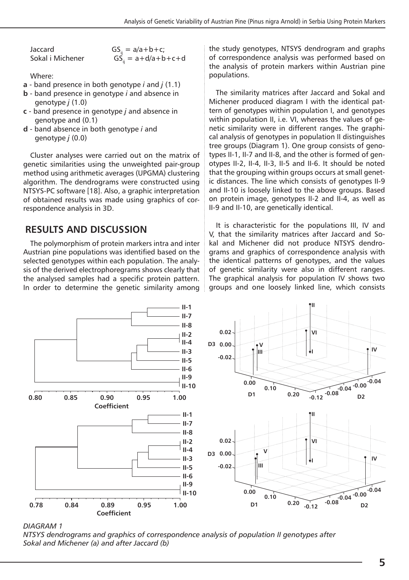Jaccard GS<sub>ij</sub> = a/a+b+c;<br>Sokal i Michener GS. = a+d/a+b  $GS<sub>n</sub> = a+d/a+b+c+d$ 

Where:

- **a** band presence in both genotype *i* and *j* (1.1)
- **b** band presence in genotype *i* and absence in genotype *j* (1.0)
- **c** band presence in genotype *j* and absence in genotype and (0.1)
- **d** band absence in both genotype *i* and genotype *j* (0.0)

Cluster analyses were carried out on the matrix of genetic similarities using the unweighted pair-group method using arithmetic averages (UPGMA) clustering algorithm. The dendrograms were constructed using NTSYS-PC software [18]. Also, a graphic interpretation of obtained results was made using graphics of correspondence analysis in 3D.

## **RESULTS AND DISCUSSION**

The polymorphism of protein markers intra and inter Austrian pine populations was identified based on the selected genotypes within each population. The analysis of the derived electrophoregrams shows clearly that the analysed samples had a specific protein pattern. In order to determine the genetic similarity among the study genotypes, NTSYS dendrogram and graphs of correspondence analysis was performed based on the analysis of protein markers within Austrian pine populations.

The similarity matrices after Jaccard and Sokal and Michener produced diagram I with the identical pattern of genotypes within population I, and genotypes within population II, i.e. VI, whereas the values of genetic similarity were in different ranges. The graphical analysis of genotypes in population II distinguishes tree groups (Diagram 1). One group consists of genotypes II-1, II-7 and II-8, and the other is formed of genotypes II-2, II-4, II-3, II-5 and II-6. It should be noted that the grouping within groups occurs at small genetic distances. The line which consists of genotypes II-9 and II-10 is loosely linked to the above groups. Based on protein image, genotypes II-2 and II-4, as well as II-9 and II-10, are genetically identical.

It is characteristic for the populations III, IV and V, that the similarity matrices after Jaccard and Sokal and Michener did not produce NTSYS dendrograms and graphics of correspondence analysis with the identical patterns of genotypes, and the values of genetic similarity were also in different ranges. The graphical analysis for population IV shows two groups and one loosely linked line, which consists



*DIAGRAM 1* 

*NTSYS dendrograms and graphics of correspondence analysis of population II genotypes after Sokal and Michener (a) and after Jaccard (b)*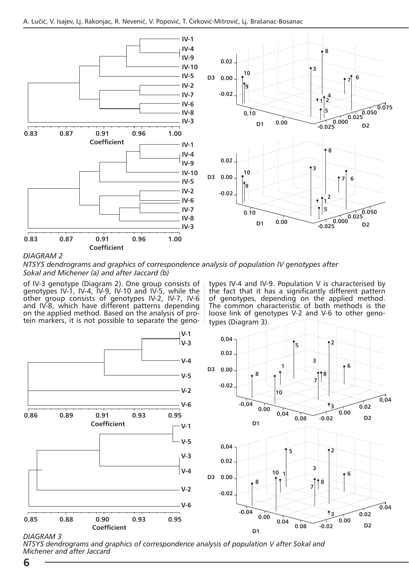

#### *DIAGRAM 2*

*NTSYS dendrograms and graphics of correspondence analysis of population IV genotypes after Sokal and Michener (a) and after Jaccard (b)*

of IV-3 genotype (Diagram 2). One group consists of genotypes IV-1, IV-4, IV-9, IV-10 and IV-5, while the other group consists of genotypes IV-2, IV-7, IV-6 and IV-8, which have different patterns depending on the applied method. Based on the analysis of protein markers, it is not possible to separate the genotypes IV-4 and IV-9. Population V is characterised by the fact that it has a significantly different pattern of genotypes, depending on the applied method. The common characteristic of both methods is the loose link of genotypes V-2 and V-6 to other genotypes (Diagram 3).



#### *DIAGRAM 3*

*NTSYS dendrograms and graphics of correspondence analysis of population V after Sokal and Michener and after Jaccard*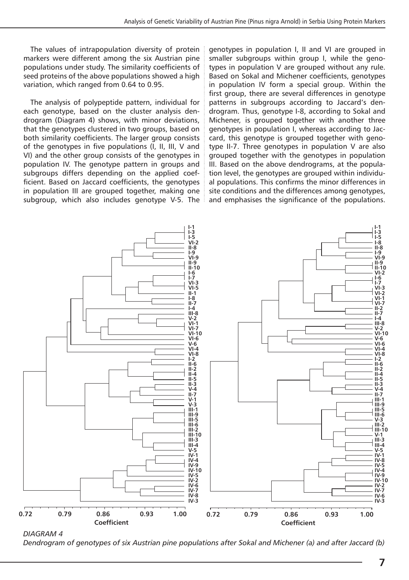The values of intrapopulation diversity of protein markers were different among the six Austrian pine populations under study. The similarity coefficients of seed proteins of the above populations showed a high variation, which ranged from 0.64 to 0.95.

The analysis of polypeptide pattern, individual for each genotype, based on the cluster analysis dendrogram (Diagram 4) shows, with minor deviations, that the genotypes clustered in two groups, based on both similarity coefficients. The larger group consists of the genotypes in five populations (I, II, III, V and VI) and the other group consists of the genotypes in population IV. The genotype pattern in groups and subgroups differs depending on the applied coefficient. Based on Jaccard coefficients, the genotypes in population III are grouped together, making one subgroup, which also includes genotype V-5. The genotypes in population I, II and VI are grouped in smaller subgroups within group I, while the genotypes in population V are grouped without any rule. Based on Sokal and Michener coefficients, genotypes in population IV form a special group. Within the first group, there are several differences in genotype patterns in subgroups according to Jaccard's dendrogram. Thus, genotype I-8, according to Sokal and Michener, is grouped together with another three genotypes in population I, whereas according to Jaccard, this genotype is grouped together with genotype II-7. Three genotypes in population V are also grouped together with the genotypes in population III. Based on the above dendrograms, at the population level, the genotypes are grouped within individual populations. This confirms the minor differences in site conditions and the differences among genotypes, and emphasises the significance of the populations.



*DIAGRAM 4 Dendrogram of genotypes of six Austrian pine populations after Sokal and Michener (a) and after Jaccard (b)*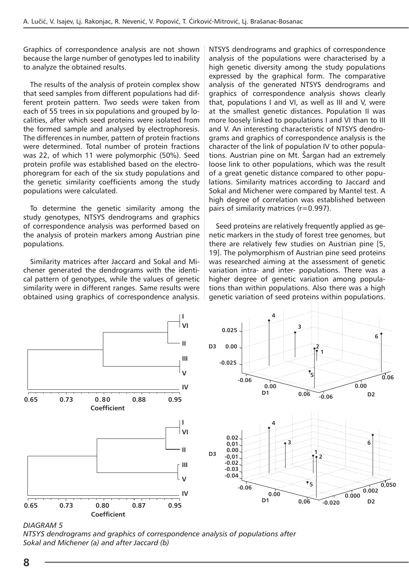Graphics of correspondence analysis are not shown because the large number of genotypes led to inability to analyze the obtained results.

The results of the analysis of protein complex show that seed samples from different populations had different protein pattern. Two seeds were taken from each of 55 trees in six populations and grouped by localities, after which seed proteins were isolated from the formed sample and analysed by electrophoresis. The differences in number, pattern of protein fractions were determined. Total number of protein fractions was 22, of which 11 were polymorphic (50%). Seed protein profile was established based on the electrophoregram for each of the six study populations and the genetic similarity coefficients among the study populations were calculated.

To determine the genetic similarity among the study genotypes, NTSYS dendrograms and graphics of correspondence analysis was performed based on the analysis of protein markers among Austrian pine populations.

Similarity matrices after Jaccard and Sokal and Michener generated the dendrograms with the identical pattern of genotypes, while the values of genetic similarity were in different ranges. Same results were obtained using graphics of correspondence analysis.

NTSYS dendrograms and graphics of correspondence analysis of the populations were characterised by a high genetic diversity among the study populations expressed by the graphical form. The comparative analysis of the generated NTSYS dendrograms and graphics of correspondence analysis shows clearly that, populations I and VI, as well as III and V, were at the smallest genetic distances. Population II was more loosely linked to populations I and VI than to III and V. An interesting characteristic of NTSYS dendrograms and graphics of correspondence analysis is the character of the link of population IV to other populations. Austrian pine on Mt. Šargan had an extremely loose link to other populations, which was the result of a great genetic distance compared to other populations. Similarity matrices according to Jaccard and Sokal and Michener were compared by Mantel test. A high degree of correlation was established between pairs of similarity matrices (r=0.997).

Seed proteins are relatively frequently applied as genetic markers in the study of forest tree genomes, but there are relatively few studies on Austrian pine [5, 19]. The polymorphism of Austrian pine seed proteins was researched aiming at the assessment of genetic variation intra- and inter- populations. There was a higher degree of genetic variation among populations than within populations. Also there was a high genetic variation of seed proteins within populations.



*DIAGRAM 5* 

*NTSYS dendrograms and graphics of correspondence analysis of populations after Sokal and Michener (a) and after Jaccard (b)*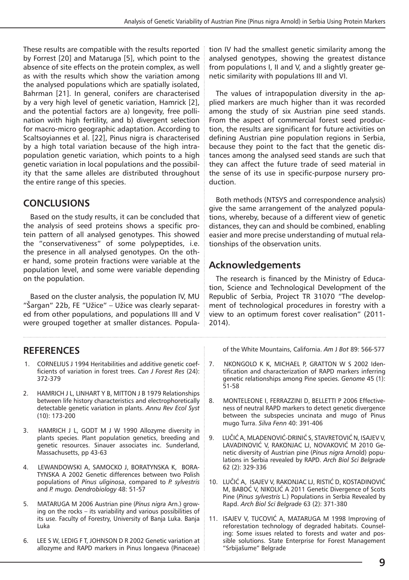These results are compatible with the results reported by Forrest [20] and Mataruga [5], which point to the absence of site effects on the protein complex, as well as with the results which show the variation among the analysed populations which are spatially isolated, Bahrman [21]. In general, conifers are characterised by a very high level of genetic variation, Hamrick [2], and the potential factors are a) longevity, free pollination with high fertility, and b) divergent selection for macro-micro geographic adaptation. According to Scaltsoyiannes et al. [22], Pinus nigra is characterised by a high total variation because of the high intrapopulation genetic variation, which points to a high genetic variation in local populations and the possibility that the same alleles are distributed throughout the entire range of this species.

## **CONCLUSIONS**

Based on the study results, it can be concluded that the analysis of seed proteins shows a specific protein pattern of all analysed genotypes. This showed the "conservativeness" of some polypeptides, i.e. the presence in all analysed genotypes. On the other hand, some protein fractions were variable at the population level, and some were variable depending on the population.

Based on the cluster analysis, the population IV, MU "Šargan" 22b, FE "Užice" – Užice was clearly separated from other populations, and populations III and V were grouped together at smaller distances. Popula-

## **REFERENCES**

- 1. CORNELIUS J 1994 Heritabilities and additive genetic coefficients of variation in forest trees. *Can J Forest Res* (24): 372-379
- 2. HAMRICH J L, LINHART Y B, MITTON J B 1979 Relationships between life history characteristics and electrophoretically detectable genetic variation in plants. *Annu Rev Ecol Syst* (10): 173-200
- 3. HAMRICH J L, GODT M J W 1990 Allozyme diversity in plants species. Plant population genetics, breeding and genetic resources. Sinauer associates inc. Sunderland, Massachusetts, pp 43-63
- 4. LEWANDOWSKI A, SAMOCKO J, BORATYNSKA K, BORA-TYNSKA A 2002 Genetic differences between two Polish populations of *Pinus uliginosa*, compared to *P. sylvestris* and *P. mugo. Dendrobiology* 48: 51-57
- 5. MATARUGA M 2006 Austrian pine (*Pinus nigra* Arn.) growing on the rocks – its variability and various possibilities of its use. Faculty of Forestry, University of Banja Luka. Banja Luka
- 6. LEE S W, LEDIG F T, JOHNSON D R 2002 Genetic variation at allozyme and RAPD markers in Pinus longaeva (Pinaceae)

tion IV had the smallest genetic similarity among the analysed genotypes, showing the greatest distance from populations I, II and V, and a slightly greater genetic similarity with populations III and VI.

The values of intrapopulation diversity in the applied markers are much higher than it was recorded among the study of six Austrian pine seed stands. From the aspect of commercial forest seed production, the results are significant for future activities on defining Austrian pine population regions in Serbia, because they point to the fact that the genetic distances among the analysed seed stands are such that they can affect the future trade of seed material in the sense of its use in specific-purpose nursery production.

Both methods (NTSYS and correspondence analysis) give the same arrangement of the analyzed populations, whereby, because of a different view of genetic distances, they can and should be combined, enabling easier and more precise understanding of mutual relationships of the observation units.

## **Acknowledgements**

The research is financed by the Ministry of Education, Science and Technological Development of the Republic of Serbia, Project TR 31070 "The development of technological procedures in forestry with a view to an optimum forest cover realisation" (2011- 2014).

of the White Mountains, California. *Am* J *Bot* 89: 566-577

- 7. NKONGOLO K K, MICHAEL P, GRATTON W S 2002 Identification and characterization of RAPD markers inferring genetic relationships among Pine species. *Genome* 45 (1): 51-58
- 8. MONTELEONE I, FERRAZZINI D, BELLETTI P 2006 Effectiveness of neutral RAPD markers to detect genetic divergence between the subspecies uncinata and mugo of Pinus mugo Turra. *Silva Fenn* 40: 391-406
- 9. LUČIĆ A, MLADENOVIĆ-DRINIĆ S, STAVRETOVIĆ N, ISAJEV V, LAVADINOVIĆ V, RAKONJAC LJ, NOVAKOVIĆ M 2010 Genetic diversity of Austrian pine (*Pinus nigra* Arnold) populations in Serbia revealed by RAPD. *Arch Biol Sci Belgrade* 62 (2): 329-336
- 10. LUČIĆ A, ISAJEV V, RAKONJAC LJ, RISTIĆ D, KOSTADINOVIĆ M, BABOĆ V, NIKOLIĆ A 2011 Genetic Divergence of Scots Pine (*Pinus sylvestris* L.) Populations in Serbia Revealed by Rapd. *Arch Biol Sci Belgrade* 63 (2): 371-380
- 11. ISAJEV V, TUCOVIĆ A, MATARUGA M 1998 Improving of reforestation technology of degraded habitats. Counseling: Some issues related to forests and water and possible solutions. State Enterprise for Forest Management "Srbijašume" Belgrade